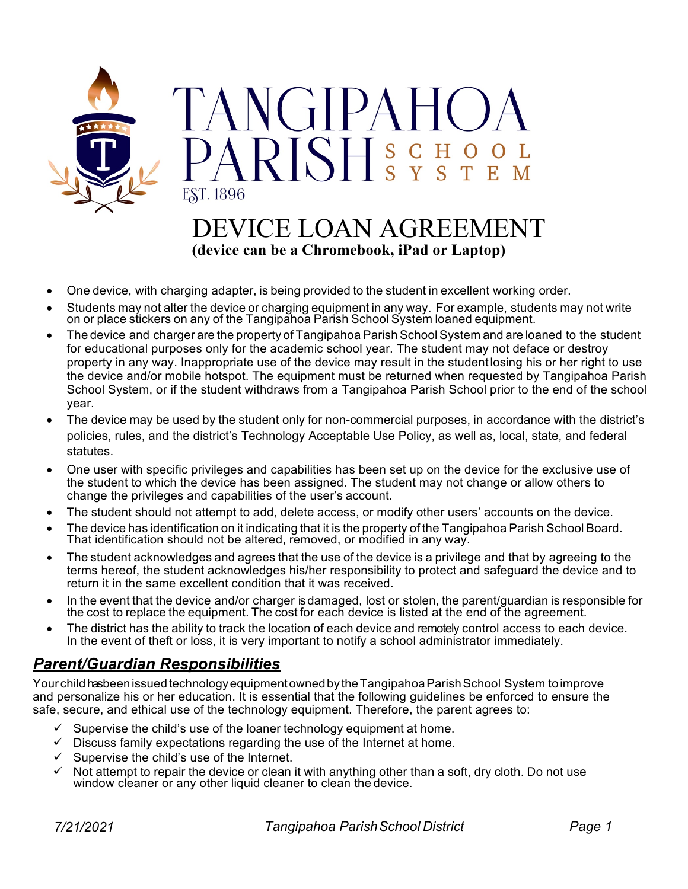

# DEVICE LOAN AGREEMENT **(device can be a Chromebook, iPad or Laptop)**

- One device, with charging adapter, is being provided to the student in excellent working order.
- Students may not alter the device or charging equipment in any way. For example, students may not write on or place stickers on any of the Tangipahoa Parish School System loaned equipment.
- The device and charger are the property of Tangipahoa Parish School System and are loaned to the student for educational purposes only for the academic school year. The student may not deface or destroy property in any way. Inappropriate use of the device may result in the student losing his or her right to use the device and/or mobile hotspot. The equipment must be returned when requested by Tangipahoa Parish School System, or if the student withdraws from a Tangipahoa Parish School prior to the end of the school year.
- The device may be used by the student only for non-commercial purposes, in accordance with the district's policies, rules, and the district's Technology Acceptable Use Policy, as well as, local, state, and federal statutes.
- One user with specific privileges and capabilities has been set up on the device for the exclusive use of the student to which the device has been assigned. The student may not change or allow others to change the privileges and capabilities of the user's account.
- The student should not attempt to add, delete access, or modify other users' accounts on the device.
- The device has identification on it indicating that it is the property of the Tangipahoa Parish School Board. That identification should not be altered, removed, or modified in any way.
- The student acknowledges and agrees that the use of the device is a privilege and that by agreeing to the terms hereof, the student acknowledges his/her responsibility to protect and safeguard the device and to return it in the same excellent condition that it was received.
- In the event that the device and/or charger isdamaged, lost or stolen, the parent/guardian is responsible for the cost to replace the equipment. The cost for each device is listed at the end of the agreement.
- The district has the ability to track the location of each device and remotely control access to each device. In the event of theft or loss, it is very important to notify a school administrator immediately.

### *Parent/Guardian Responsibilities*

Your child hasbeen issued technology equipment owned by the Tangipahoa Parish School System to improve and personalize his or her education. It is essential that the following guidelines be enforced to ensure the safe, secure, and ethical use of the technology equipment. Therefore, the parent agrees to:

- $\checkmark$  Supervise the child's use of the loaner technology equipment at home.
- $\checkmark$  Discuss family expectations regarding the use of the Internet at home.
- $\checkmark$  Supervise the child's use of the Internet.
- Not attempt to repair the device or clean it with anything other than a soft, dry cloth. Do not use window cleaner or any other liquid cleaner to clean the device.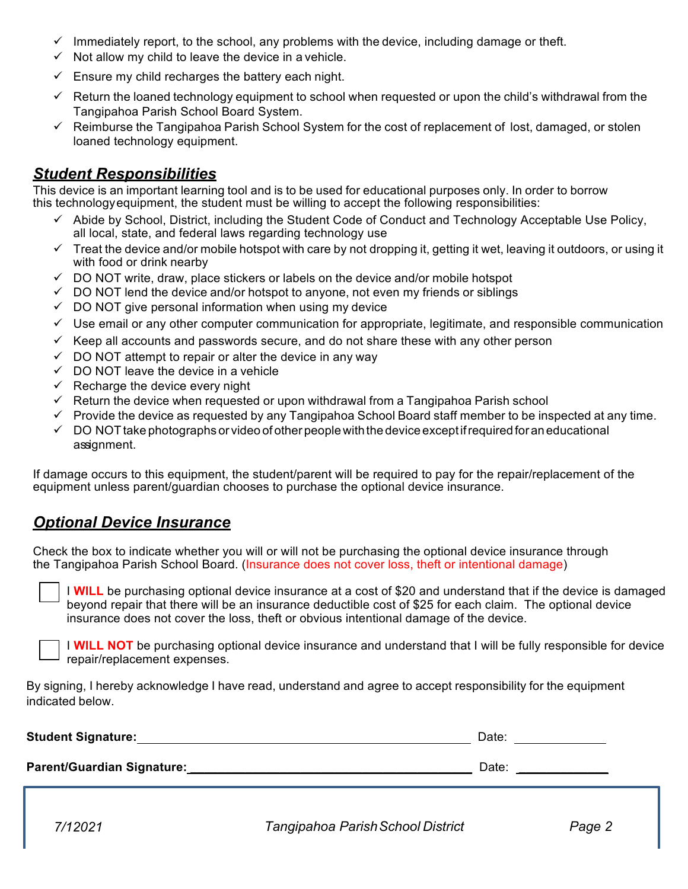- $\checkmark$  Immediately report, to the school, any problems with the device, including damage or theft.
- $\checkmark$  Not allow my child to leave the device in a vehicle.
- $\checkmark$  Ensure my child recharges the battery each night.
- $\checkmark$  Return the loaned technology equipment to school when requested or upon the child's withdrawal from the Tangipahoa Parish School Board System.
- $\checkmark$  Reimburse the Tangipahoa Parish School System for the cost of replacement of lost, damaged, or stolen loaned technology equipment.

### *Student Responsibilities*

This device is an important learning tool and is to be used for educational purposes only. In order to borrow this technologyequipment, the student must be willing to accept the following responsibilities:

- $\checkmark$  Abide by School, District, including the Student Code of Conduct and Technology Acceptable Use Policy, all local, state, and federal laws regarding technology use
- $\checkmark$  Treat the device and/or mobile hotspot with care by not dropping it, getting it wet, leaving it outdoors, or using it with food or drink nearby
- $\checkmark$  DO NOT write, draw, place stickers or labels on the device and/or mobile hotspot
- $\checkmark$  DO NOT lend the device and/or hotspot to anyone, not even my friends or siblings
- $\checkmark$  DO NOT give personal information when using my device
- $\checkmark$  Use email or any other computer communication for appropriate, legitimate, and responsible communication
- $\checkmark$  Keep all accounts and passwords secure, and do not share these with any other person
- $\checkmark$  DO NOT attempt to repair or alter the device in any way
- $\checkmark$  DO NOT leave the device in a vehicle
- $\checkmark$  Recharge the device every night
- $\checkmark$  Return the device when requested or upon withdrawal from a Tangipahoa Parish school
- $\checkmark$  Provide the device as requested by any Tangipahoa School Board staff member to be inspected at any time.
- $\checkmark$  DO NOT take photographs or video of other people with the device except if required for an educational assignment.

If damage occurs to this equipment, the student/parent will be required to pay for the repair/replacement of the equipment unless parent/guardian chooses to purchase the optional device insurance.

### *Optional Device Insurance*

Check the box to indicate whether you will or will not be purchasing the optional device insurance through the Tangipahoa Parish School Board. (Insurance does not cover loss, theft or intentional damage)

I **WILL** be purchasing optional device insurance at a cost of \$20 and understand that if the device is damaged beyond repair that there will be an insurance deductible cost of \$25 for each claim. The optional device insurance does not cover the loss, theft or obvious intentional damage of the device.

I **WILL NOT** be purchasing optional device insurance and understand that I will be fully responsible for device repair/replacement expenses.

By signing, I hereby acknowledge I have read, understand and agree to accept responsibility for the equipment indicated below.

| <b>Student Signature:</b>         | Date: |  |
|-----------------------------------|-------|--|
| <b>Parent/Guardian Signature:</b> | Date: |  |